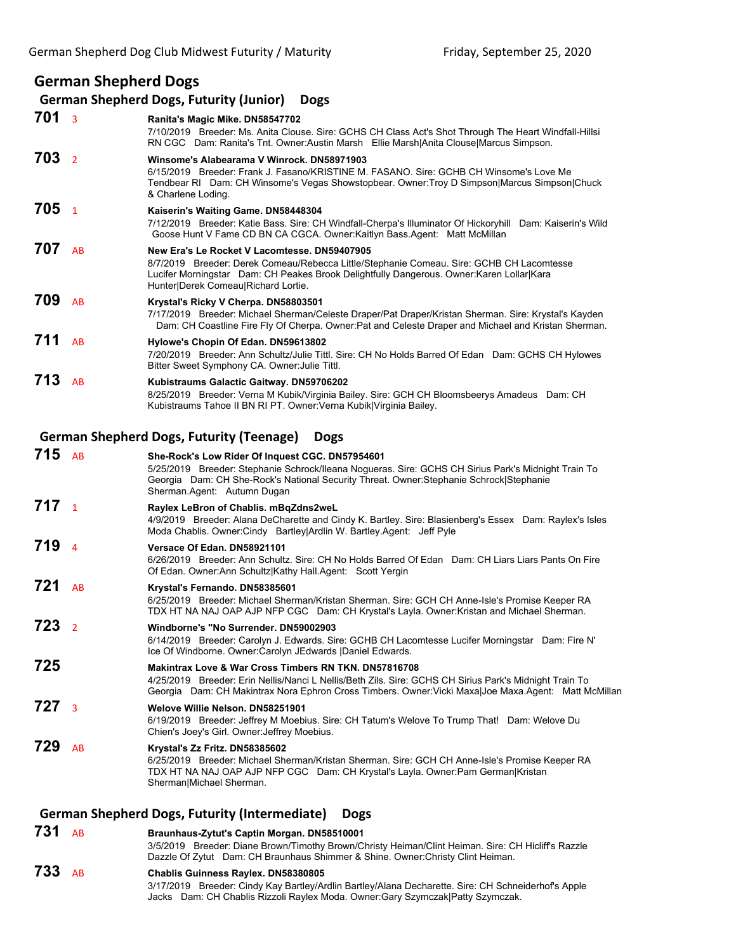## **German Shepherd Dogs**

| $701_3$                                        |                | Ranita's Magic Mike. DN58547702<br>7/10/2019 Breeder: Ms. Anita Clouse. Sire: GCHS CH Class Act's Shot Through The Heart Windfall-Hillsi<br>RN CGC Dam: Ranita's Tnt. Owner:Austin Marsh Ellie Marsh Anita Clouse Marcus Simpson.                                               |
|------------------------------------------------|----------------|---------------------------------------------------------------------------------------------------------------------------------------------------------------------------------------------------------------------------------------------------------------------------------|
| 703                                            | $\overline{2}$ | Winsome's Alabearama V Winrock. DN58971903<br>6/15/2019 Breeder: Frank J. Fasano/KRISTINE M. FASANO. Sire: GCHB CH Winsome's Love Me<br>Tendbear RI Dam: CH Winsome's Vegas Showstopbear. Owner: Troy D Simpson Marcus Simpson Chuck<br>& Charlene Loding.                      |
| 705 <sub>1</sub>                               |                | Kaiserin's Waiting Game. DN58448304<br>7/12/2019 Breeder: Katie Bass. Sire: CH Windfall-Cherpa's Illuminator Of Hickoryhill Dam: Kaiserin's Wild<br>Goose Hunt V Fame CD BN CA CGCA. Owner: Kaitlyn Bass. Agent: Matt McMillan                                                  |
| 707                                            | AB             | New Era's Le Rocket V Lacomtesse. DN59407905<br>8/7/2019 Breeder: Derek Comeau/Rebecca Little/Stephanie Comeau. Sire: GCHB CH Lacomtesse<br>Lucifer Morningstar Dam: CH Peakes Brook Delightfully Dangerous. Owner: Karen Lollar Kara<br>Hunter Derek Comeau Richard Lortie.    |
| 709                                            | AB             | Krystal's Ricky V Cherpa. DN58803501<br>7/17/2019 Breeder: Michael Sherman/Celeste Draper/Pat Draper/Kristan Sherman. Sire: Krystal's Kayden<br>Dam: CH Coastline Fire Fly Of Cherpa. Owner: Pat and Celeste Draper and Michael and Kristan Sherman.                            |
| 711                                            | AB             | Hylowe's Chopin Of Edan. DN59613802<br>7/20/2019 Breeder: Ann Schultz/Julie Tittl. Sire: CH No Holds Barred Of Edan Dam: GCHS CH Hylowes<br>Bitter Sweet Symphony CA. Owner: Julie Tittl.                                                                                       |
| 713                                            | <b>AB</b>      | Kubistraums Galactic Gaitway. DN59706202<br>8/25/2019 Breeder: Verna M Kubik/Virginia Bailey. Sire: GCH CH Bloomsbeerys Amadeus Dam: CH<br>Kubistraums Tahoe II BN RI PT. Owner: Verna Kubik  Virginia Bailey.                                                                  |
|                                                |                |                                                                                                                                                                                                                                                                                 |
|                                                |                | <b>German Shepherd Dogs, Futurity (Teenage)</b><br><b>Dogs</b>                                                                                                                                                                                                                  |
|                                                | AB             | She-Rock's Low Rider Of Inquest CGC. DN57954601<br>5/25/2019 Breeder: Stephanie Schrock/Ileana Nogueras. Sire: GCHS CH Sirius Park's Midnight Train To<br>Georgia Dam: CH She-Rock's National Security Threat. Owner:Stephanie Schrock Stephanie<br>Sherman.Agent: Autumn Dugan |
| 715<br>717 <sub>1</sub>                        |                | Raylex LeBron of Chablis. mBqZdns2weL<br>4/9/2019 Breeder: Alana DeCharette and Cindy K. Bartley. Sire: Blasienberg's Essex Dam: Raylex's Isles<br>Moda Chablis. Owner: Cindy Bartley Ardlin W. Bartley. Agent: Jeff Pyle                                                       |
|                                                | $\overline{4}$ | Versace Of Edan, DN58921101<br>6/26/2019 Breeder: Ann Schultz. Sire: CH No Holds Barred Of Edan Dam: CH Liars Liars Pants On Fire<br>Of Edan. Owner: Ann Schultz Kathy Hall. Agent: Scott Yergin                                                                                |
|                                                | AB             | Krystal's Fernando. DN58385601<br>6/25/2019 Breeder: Michael Sherman/Kristan Sherman. Sire: GCH CH Anne-Isle's Promise Keeper RA<br>TDX HT NA NAJ OAP AJP NFP CGC Dam: CH Krystal's Layla. Owner: Kristan and Michael Sherman.                                                  |
|                                                |                | Windborne's "No Surrender. DN59002903<br>6/14/2019 Breeder: Carolyn J. Edwards. Sire: GCHB CH Lacomtesse Lucifer Morningstar Dam: Fire N'<br>Ice Of Windborne. Owner:Carolyn JEdwards   Daniel Edwards.                                                                         |
|                                                |                | Makintrax Love & War Cross Timbers RN TKN. DN57816708<br>4/25/2019 Breeder: Erin Nellis/Nanci L Nellis/Beth Zils. Sire: GCHS CH Sirius Park's Midnight Train To<br>Georgia Dam: CH Makintrax Nora Ephron Cross Timbers. Owner: Vicki Maxa Joe Maxa.Agent: Matt McMillan         |
| 719<br>721<br>723 z<br>725<br>727 <sub>3</sub> |                | Welove Willie Nelson, DN58251901<br>6/19/2019 Breeder: Jeffrey M Moebius. Sire: CH Tatum's Welove To Trump That! Dam: Welove Du<br>Chien's Joey's Girl. Owner: Jeffrey Moebius.                                                                                                 |

**German Shepherd Dogs, Futurity (Intermediate) Dogs**

**731** AB **Braunhaus-Zytut's Captin Morgan. DN58510001**

- 3/5/2019 Breeder: Diane Brown/Timothy Brown/Christy Heiman/Clint Heiman. Sire: CH Hicliff's Razzle Dazzle Of Zytut Dam: CH Braunhaus Shimmer & Shine. Owner:Christy Clint Heiman.
- **733** AB **Chablis Guinness Raylex. DN58380805** 3/17/2019 Breeder: Cindy Kay Bartley/Ardlin Bartley/Alana Decharette. Sire: CH Schneiderhof's Apple Jacks Dam: CH Chablis Rizzoli Raylex Moda. Owner:Gary Szymczak|Patty Szymczak.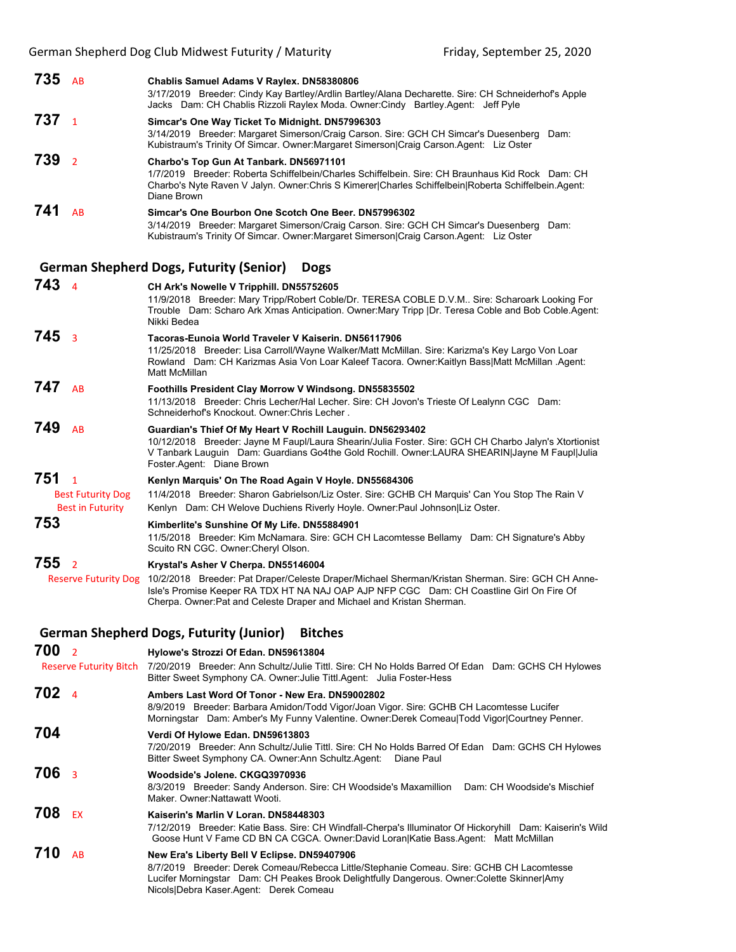| 735 | <b>AR</b> | Chablis Samuel Adams V Raylex. DN58380806<br>3/17/2019 Breeder: Cindy Kay Bartley/Ardlin Bartley/Alana Decharette. Sire: CH Schneiderhof's Apple<br>Jacks Dam: CH Chablis Rizzoli Raylex Moda. Owner:Cindy Bartley Agent: Jeff Pyle                                 |
|-----|-----------|---------------------------------------------------------------------------------------------------------------------------------------------------------------------------------------------------------------------------------------------------------------------|
| 737 |           | Simcar's One Way Ticket To Midnight. DN57996303<br>3/14/2019 Breeder: Margaret Simerson/Craig Carson. Sire: GCH CH Simcar's Duesenberg<br>Dam:<br>Kubistraum's Trinity Of Simcar. Owner: Margaret Simerson Craig Carson Agent: Liz Oster                            |
| 739 |           | Charbo's Top Gun At Tanbark. DN56971101<br>1/7/2019 Breeder: Roberta Schiffelbein/Charles Schiffelbein, Sire: CH Braunhaus Kid Rock Dam: CH<br>Charbo's Nyte Raven V Jalyn. Owner: Chris S Kimerer Charles Schiffelbein Roberta Schiffelbein. Agent:<br>Diane Brown |
| 741 | AB        | Simcar's One Bourbon One Scotch One Beer, DN57996302<br>3/14/2019 Breeder: Margaret Simerson/Craig Carson. Sire: GCH CH Simcar's Duesenberg<br>Dam:<br>Kubistraum's Trinity Of Simcar. Owner: Margaret Simerson Craig Carson. Agent: Liz Oster                      |

# **German Shepherd Dogs, Futurity (Senior) Dogs**

| $743 \quad 4$                                                    | CH Ark's Nowelle V Tripphill. DN55752605<br>11/9/2018 Breeder: Mary Tripp/Robert Coble/Dr. TERESA COBLE D.V.M. Sire: Scharoark Looking For<br>Trouble Dam: Scharo Ark Xmas Anticipation. Owner: Mary Tripp   Dr. Teresa Coble and Bob Coble. Agent:<br>Nikki Bedea                                             |
|------------------------------------------------------------------|----------------------------------------------------------------------------------------------------------------------------------------------------------------------------------------------------------------------------------------------------------------------------------------------------------------|
| 745<br>$\overline{3}$                                            | Tacoras-Eunoia World Traveler V Kaiserin, DN56117906<br>11/25/2018 Breeder: Lisa Carroll/Wayne Walker/Matt McMillan. Sire: Karizma's Key Largo Von Loar<br>Rowland Dam: CH Karizmas Asia Von Loar Kaleef Tacora. Owner: Kaitlyn Bass Matt McMillan .Agent:<br>Matt McMillan                                    |
| 747<br><b>AB</b>                                                 | Foothills President Clay Morrow V Windsong. DN55835502<br>11/13/2018 Breeder: Chris Lecher/Hal Lecher. Sire: CH Jovon's Trieste Of Lealynn CGC Dam:<br>Schneiderhof's Knockout, Owner: Chris Lecher.                                                                                                           |
| 749<br><b>AR</b>                                                 | Guardian's Thief Of My Heart V Rochill Lauguin. DN56293402<br>10/12/2018 Breeder: Jayne M Faupl/Laura Shearin/Julia Foster. Sire: GCH CH Charbo Jalyn's Xtortionist<br>V Tanbark Lauguin Dam: Guardians Go4the Gold Rochill. Owner:LAURA SHEARIN Jayne M Faup  Julia<br>Foster Agent: Diane Brown              |
| $751_{1}$<br><b>Best Futurity Dog</b><br><b>Best in Futurity</b> | Kenlyn Marquis' On The Road Again V Hoyle. DN55684306<br>11/4/2018 Breeder: Sharon Gabrielson/Liz Oster. Sire: GCHB CH Marquis' Can You Stop The Rain V<br>Kenlyn Dam: CH Welove Duchiens Riverly Hoyle. Owner: Paul Johnson Liz Oster.                                                                        |
| 753                                                              | Kimberlite's Sunshine Of My Life. DN55884901<br>11/5/2018 Breeder: Kim McNamara. Sire: GCH CH Lacomtesse Bellamy Dam: CH Signature's Abby<br>Scuito RN CGC. Owner: Cheryl Olson.                                                                                                                               |
| 7552<br><b>Reserve Futurity Dog</b>                              | Krystal's Asher V Cherpa. DN55146004<br>10/2/2018 Breeder: Pat Draper/Celeste Draper/Michael Sherman/Kristan Sherman. Sire: GCH CH Anne-<br>Isle's Promise Keeper RA TDX HT NA NAJ OAP AJP NFP CGC Dam: CH Coastline Girl On Fire Of<br>Cherpa. Owner: Pat and Celeste Draper and Michael and Kristan Sherman. |
|                                                                  | German Shepherd Dogs. Futurity (Junior)<br><b>Bitches</b>                                                                                                                                                                                                                                                      |

#### **German Shepherd Dogs, Futurity (Junior) Bitches 700** <sup>2</sup> **Hylowe's Strozzi Of Edan. DN59613804**

|                  | Reserve Futurity Bitch 7/20/2019 Breeder: Ann Schultz/Julie Tittl. Sire: CH No Holds Barred Of Edan Dam: GCHS CH Hylowes<br>Bitter Sweet Symphony CA. Owner: Julie Tittl Agent: Julia Foster-Hess                                                                                |
|------------------|----------------------------------------------------------------------------------------------------------------------------------------------------------------------------------------------------------------------------------------------------------------------------------|
| 702 <sub>4</sub> | Ambers Last Word Of Tonor - New Era. DN59002802<br>8/9/2019 Breeder: Barbara Amidon/Todd Vigor/Joan Vigor. Sire: GCHB CH Lacomtesse Lucifer<br>Morningstar Dam: Amber's My Funny Valentine. Owner:Derek Comeau Todd Vigor Courtney Penner.                                       |
| 704              | Verdi Of Hylowe Edan. DN59613803<br>7/20/2019 Breeder: Ann Schultz/Julie Tittl. Sire: CH No Holds Barred Of Edan Dam: GCHS CH Hylowes<br>Bitter Sweet Symphony CA. Owner:Ann Schultz.Agent:   Diane Paul                                                                         |
| 706 <sub>3</sub> | Woodside's Jolene, CKGQ3970936<br>8/3/2019 Breeder: Sandy Anderson. Sire: CH Woodside's Maxamillion Dam: CH Woodside's Mischief<br>Maker, Owner: Nattawatt Wooti.                                                                                                                |
| 708<br><b>FX</b> | Kaiserin's Marlin V Loran, DN58448303<br>7/12/2019 Breeder: Katie Bass. Sire: CH Windfall-Cherpa's Illuminator Of Hickoryhill Dam: Kaiserin's Wild<br>Goose Hunt V Fame CD BN CA CGCA. Owner:David Loran Katie Bass.Agent: Matt McMillan                                         |
| 710<br><b>AB</b> | New Era's Liberty Bell V Eclipse. DN59407906<br>8/7/2019 Breeder: Derek Comeau/Rebecca Little/Stephanie Comeau. Sire: GCHB CH Lacomtesse<br>Lucifer Morningstar Dam: CH Peakes Brook Delightfully Dangerous. Owner:Colette Skinner Amy<br>Nicols Debra Kaser Agent: Derek Comeau |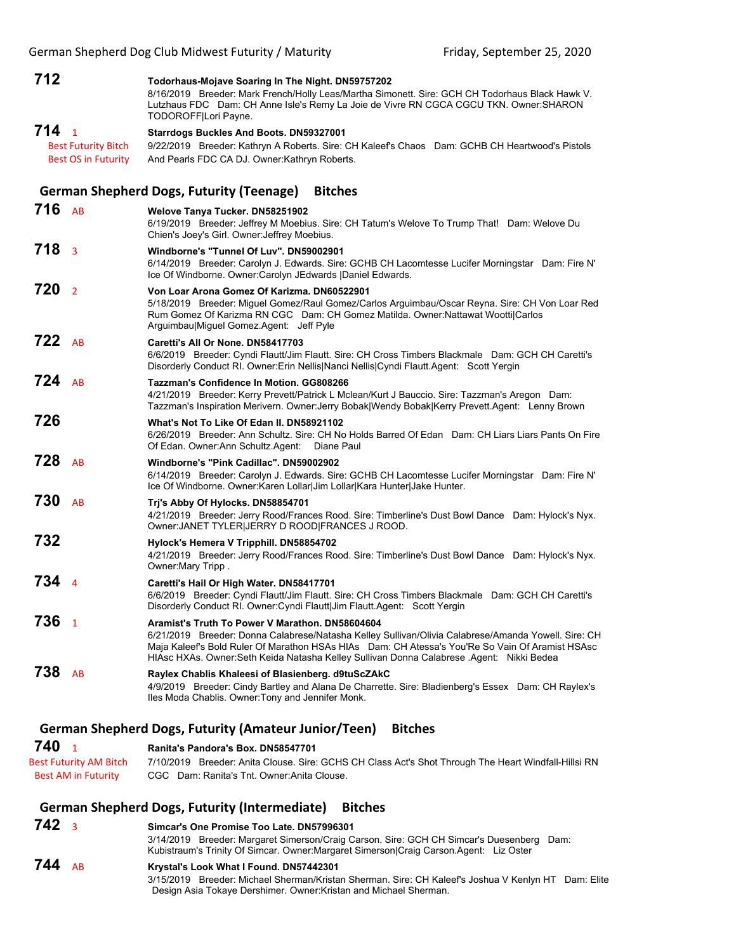| 712                   |                               | Todorhaus-Mojave Soaring In The Night. DN59757202<br>8/16/2019 Breeder: Mark French/Holly Leas/Martha Simonett. Sire: GCH CH Todorhaus Black Hawk V.<br>Lutzhaus FDC Dam: CH Anne Isle's Remy La Joie de Vivre RN CGCA CGCU TKN. Owner: SHARON<br>TODOROFF Lori Payne.                                                                               |
|-----------------------|-------------------------------|------------------------------------------------------------------------------------------------------------------------------------------------------------------------------------------------------------------------------------------------------------------------------------------------------------------------------------------------------|
| 714 <sub>1</sub>      |                               |                                                                                                                                                                                                                                                                                                                                                      |
|                       |                               | <b>Starrdogs Buckles And Boots. DN59327001</b>                                                                                                                                                                                                                                                                                                       |
|                       | <b>Best Futurity Bitch</b>    | 9/22/2019 Breeder: Kathryn A Roberts. Sire: CH Kaleef's Chaos Dam: GCHB CH Heartwood's Pistols                                                                                                                                                                                                                                                       |
|                       | <b>Best OS in Futurity</b>    | And Pearls FDC CA DJ. Owner: Kathryn Roberts.                                                                                                                                                                                                                                                                                                        |
|                       |                               | <b>German Shepherd Dogs, Futurity (Teenage)</b><br><b>Bitches</b>                                                                                                                                                                                                                                                                                    |
| $716$ AB              |                               | Welove Tanya Tucker. DN58251902<br>6/19/2019 Breeder: Jeffrey M Moebius. Sire: CH Tatum's Welove To Trump That! Dam: Welove Du<br>Chien's Joey's Girl. Owner: Jeffrey Moebius.                                                                                                                                                                       |
| 718 <sub>3</sub>      |                               | Windborne's "Tunnel Of Luv", DN59002901<br>6/14/2019 Breeder: Carolyn J. Edwards. Sire: GCHB CH Lacomtesse Lucifer Morningstar Dam: Fire N'<br>Ice Of Windborne. Owner:Carolyn JEdwards   Daniel Edwards.                                                                                                                                            |
| 720<br>$\overline{2}$ |                               | Von Loar Arona Gomez Of Karizma. DN60522901<br>5/18/2019 Breeder: Miguel Gomez/Raul Gomez/Carlos Arguimbau/Oscar Reyna. Sire: CH Von Loar Red<br>Rum Gomez Of Karizma RN CGC Dam: CH Gomez Matilda. Owner: Nattawat Woottil Carlos<br>Arguimbau Miguel Gomez Agent: Jeff Pyle                                                                        |
| $722$ AB              |                               | Caretti's All Or None, DN58417703<br>6/6/2019 Breeder: Cyndi Flautt/Jim Flautt. Sire: CH Cross Timbers Blackmale Dam: GCH CH Caretti's<br>Disorderly Conduct RI. Owner: Erin Nellis Nanci Nellis Cyndi Flautt. Agent: Scott Yergin                                                                                                                   |
| $724$ AB              |                               | Tazzman's Confidence In Motion, GG808266<br>4/21/2019 Breeder: Kerry Prevett/Patrick L Mclean/Kurt J Bauccio. Sire: Tazzman's Aregon Dam:<br>Tazzman's Inspiration Merivern. Owner: Jerry Bobak Wendy Bobak Kerry Prevett. Agent: Lenny Brown                                                                                                        |
| 726                   |                               | What's Not To Like Of Edan II. DN58921102<br>6/26/2019 Breeder: Ann Schultz. Sire: CH No Holds Barred Of Edan Dam: CH Liars Liars Pants On Fire<br>Of Edan. Owner: Ann Schultz. Agent: Diane Paul                                                                                                                                                    |
| 728                   | AB                            | Windborne's "Pink Cadillac". DN59002902<br>6/14/2019 Breeder: Carolyn J. Edwards. Sire: GCHB CH Lacomtesse Lucifer Morningstar Dam: Fire N'<br>Ice Of Windborne. Owner: Karen Lollar Jim Lollar Kara Hunter Jake Hunter.                                                                                                                             |
| 730                   | AB                            | Tri's Abby Of Hylocks. DN58854701<br>4/21/2019 Breeder: Jerry Rood/Frances Rood. Sire: Timberline's Dust Bowl Dance Dam: Hylock's Nyx.<br>Owner: JANET TYLER JERRY D ROOD FRANCES J ROOD.                                                                                                                                                            |
| 732                   |                               | Hylock's Hemera V Tripphill. DN58854702<br>4/21/2019 Breeder: Jerry Rood/Frances Rood. Sire: Timberline's Dust Bowl Dance Dam: Hylock's Nyx.<br>Owner: Mary Tripp.                                                                                                                                                                                   |
| 7344                  |                               | Caretti's Hail Or High Water. DN58417701<br>6/6/2019 Breeder: Cyndi Flautt/Jim Flautt. Sire: CH Cross Timbers Blackmale Dam: GCH CH Caretti's<br>Disorderly Conduct RI. Owner: Cyndi Flautt Jim Flautt. Agent: Scott Yergin                                                                                                                          |
| 736<br>$\overline{1}$ |                               | Aramist's Truth To Power V Marathon, DN58604604<br>6/21/2019 Breeder: Donna Calabrese/Natasha Kelley Sullivan/Olivia Calabrese/Amanda Yowell. Sire: CH<br>Maja Kaleef's Bold Ruler Of Marathon HSAs HIAs Dam: CH Atessa's You'Re So Vain Of Aramist HSAsc<br>HIAsc HXAs. Owner:Seth Keida Natasha Kelley Sullivan Donna Calabrese Agent: Nikki Bedea |
| 738                   | AB                            | Raylex Chablis Khaleesi of Blasienberg. d9tuScZAkC<br>4/9/2019 Breeder: Cindy Bartley and Alana De Charrette. Sire: Bladienberg's Essex Dam: CH Raylex's<br>Iles Moda Chablis. Owner: Tony and Jennifer Monk.                                                                                                                                        |
|                       |                               | <b>German Shepherd Dogs, Futurity (Amateur Junior/Teen)</b><br><b>Bitches</b>                                                                                                                                                                                                                                                                        |
| 740                   | $\overline{1}$                | Ranita's Pandora's Box. DN58547701                                                                                                                                                                                                                                                                                                                   |
|                       | <b>Best Futurity AM Bitch</b> | 7/10/2019 Breeder: Anita Clouse. Sire: GCHS CH Class Act's Shot Through The Heart Windfall-Hillsi RN                                                                                                                                                                                                                                                 |
|                       | <b>Best AM in Futurity</b>    | CGC Dam: Ranita's Tnt. Owner: Anita Clouse.                                                                                                                                                                                                                                                                                                          |
|                       |                               | <b>German Shepherd Dogs, Futurity (Intermediate)</b><br><b>Bitches</b>                                                                                                                                                                                                                                                                               |
| $742_3$               |                               | Simcar's One Promise Too Late. DN57996301                                                                                                                                                                                                                                                                                                            |

#### Kubistraum's Trinity Of Simcar. Owner:Margaret Simerson|Craig Carson.Agent: Liz Oster **744** AB **Krystal's Look What I Found. DN57442301** 3/15/2019 Breeder: Michael Sherman/Kristan Sherman. Sire: CH Kaleef's Joshua V Kenlyn HT Dam: Elite Design Asia Tokaye Dershimer. Owner:Kristan and Michael Sherman.

3/14/2019 Breeder: Margaret Simerson/Craig Carson. Sire: GCH CH Simcar's Duesenberg Dam: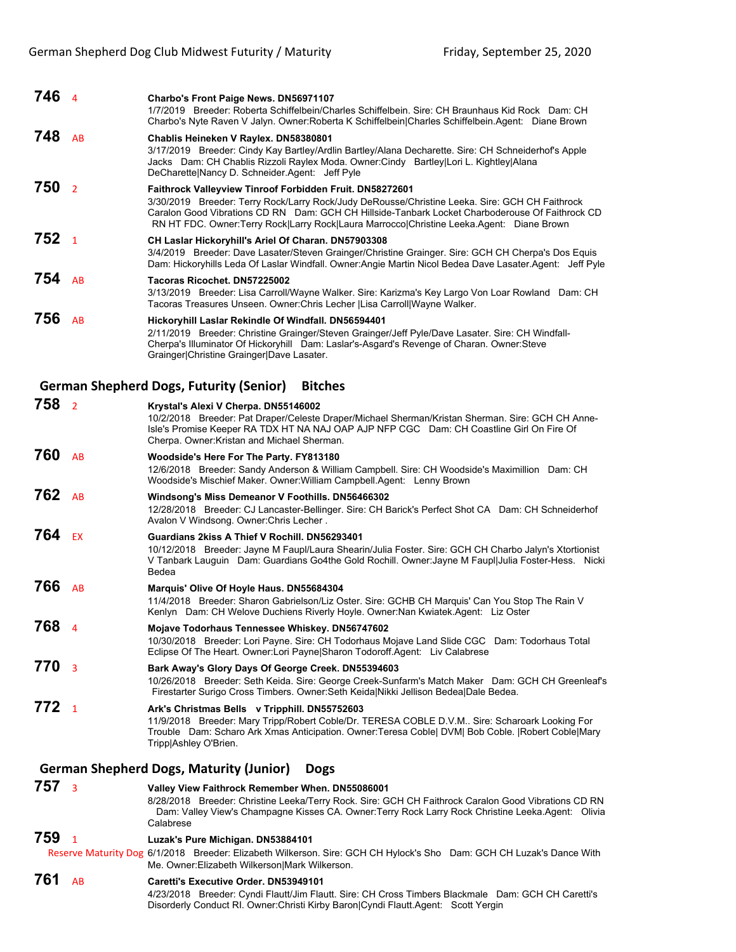| 746                                                           | $\overline{4}$          | Charbo's Front Paige News. DN56971107<br>1/7/2019 Breeder: Roberta Schiffelbein/Charles Schiffelbein. Sire: CH Braunhaus Kid Rock Dam: CH<br>Charbo's Nyte Raven V Jalyn. Owner: Roberta K Schiffelbein Charles Schiffelbein. Agent: Diane Brown                                                                                                          |  |
|---------------------------------------------------------------|-------------------------|-----------------------------------------------------------------------------------------------------------------------------------------------------------------------------------------------------------------------------------------------------------------------------------------------------------------------------------------------------------|--|
| 748                                                           | AB                      | Chablis Heineken V Raylex. DN58380801<br>3/17/2019 Breeder: Cindy Kay Bartley/Ardlin Bartley/Alana Decharette. Sire: CH Schneiderhof's Apple<br>Jacks Dam: CH Chablis Rizzoli Raylex Moda. Owner:Cindy Bartley Lori L. Kightley Alana<br>DeCharette Nancy D. Schneider.Agent: Jeff Pyle                                                                   |  |
| 750                                                           | $\overline{2}$          | Faithrock Valleyview Tinroof Forbidden Fruit. DN58272601<br>3/30/2019 Breeder: Terry Rock/Larry Rock/Judy DeRousse/Christine Leeka. Sire: GCH CH Faithrock<br>Caralon Good Vibrations CD RN Dam: GCH CH Hillside-Tanbark Locket Charboderouse Of Faithrock CD<br>RN HT FDC. Owner:Terry Rock Larry Rock Laura Marrocco Christine Leeka.Agent: Diane Brown |  |
| 752                                                           | $\overline{1}$          | CH Laslar Hickoryhill's Ariel Of Charan. DN57903308<br>3/4/2019 Breeder: Dave Lasater/Steven Grainger/Christine Grainger. Sire: GCH CH Cherpa's Dos Equis<br>Dam: Hickoryhills Leda Of Laslar Windfall. Owner: Angie Martin Nicol Bedea Dave Lasater Agent: Jeff Pyle                                                                                     |  |
| 754                                                           | AB                      | Tacoras Ricochet. DN57225002<br>3/13/2019 Breeder: Lisa Carroll/Wayne Walker. Sire: Karizma's Key Largo Von Loar Rowland Dam: CH<br>Tacoras Treasures Unseen. Owner: Chris Lecher   Lisa Carroll  Wayne Walker.                                                                                                                                           |  |
| 756                                                           | AB                      | Hickoryhill Laslar Rekindle Of Windfall. DN56594401<br>2/11/2019 Breeder: Christine Grainger/Steven Grainger/Jeff Pyle/Dave Lasater. Sire: CH Windfall-<br>Cherpa's Illuminator Of Hickoryhill Dam: Laslar's-Asgard's Revenge of Charan. Owner: Steve<br>Grainger Christine Grainger Dave Lasater.                                                        |  |
|                                                               |                         | <b>German Shepherd Dogs, Futurity (Senior)</b><br><b>Bitches</b>                                                                                                                                                                                                                                                                                          |  |
| 758                                                           | $\overline{2}$          | Krystal's Alexi V Cherpa. DN55146002<br>10/2/2018 Breeder: Pat Draper/Celeste Draper/Michael Sherman/Kristan Sherman. Sire: GCH CH Anne-<br>Isle's Promise Keeper RA TDX HT NA NAJ OAP AJP NFP CGC Dam: CH Coastline Girl On Fire Of<br>Cherpa. Owner: Kristan and Michael Sherman.                                                                       |  |
| 760                                                           | AB                      | Woodside's Here For The Party. FY813180<br>12/6/2018 Breeder: Sandy Anderson & William Campbell. Sire: CH Woodside's Maximillion Dam: CH<br>Woodside's Mischief Maker. Owner: William Campbell. Agent: Lenny Brown                                                                                                                                        |  |
| 762                                                           | AB                      | Windsong's Miss Demeanor V Foothills. DN56466302<br>12/28/2018 Breeder: CJ Lancaster-Bellinger. Sire: CH Barick's Perfect Shot CA Dam: CH Schneiderhof<br>Avalon V Windsong. Owner: Chris Lecher.                                                                                                                                                         |  |
| 764                                                           | EX                      | Guardians 2kiss A Thief V Rochill. DN56293401<br>10/12/2018 Breeder: Jayne M Faupl/Laura Shearin/Julia Foster. Sire: GCH CH Charbo Jalyn's Xtortionist<br>V Tanbark Lauguin Dam: Guardians Go4the Gold Rochill. Owner: Jayne M Faupl Julia Foster-Hess. Nicki<br>Bedea                                                                                    |  |
| 766                                                           | AB                      | Marquis' Olive Of Hoyle Haus. DN55684304<br>11/4/2018 Breeder: Sharon Gabrielson/Liz Oster. Sire: GCHB CH Marquis' Can You Stop The Rain V<br>Kenlyn Dam: CH Welove Duchiens Riverly Hoyle. Owner:Nan Kwiatek.Agent: Liz Oster                                                                                                                            |  |
| 768 4                                                         |                         | Mojave Todorhaus Tennessee Whiskey. DN56747602<br>10/30/2018 Breeder: Lori Payne. Sire: CH Todorhaus Mojave Land Slide CGC Dam: Todorhaus Total<br>Eclipse Of The Heart. Owner: Lori Payne Sharon Todoroff. Agent: Liv Calabrese                                                                                                                          |  |
| 770                                                           | $\overline{\mathbf{3}}$ | Bark Away's Glory Days Of George Creek. DN55394603<br>10/26/2018 Breeder: Seth Keida. Sire: George Creek-Sunfarm's Match Maker Dam: GCH CH Greenleaf's<br>Firestarter Surigo Cross Timbers. Owner: Seth Keida Nikki Jellison Bedea Dale Bedea.                                                                                                            |  |
| $772_{1}$                                                     |                         | Ark's Christmas Bells v Tripphill. DN55752603<br>11/9/2018 Breeder: Mary Tripp/Robert Coble/Dr. TERESA COBLE D.V.M Sire: Scharoark Looking For<br>Trouble Dam: Scharo Ark Xmas Anticipation. Owner: Teresa Coble  DVM  Bob Coble.  Robert Coble Mary<br>Tripp Ashley O'Brien.                                                                             |  |
| <b>German Shepherd Dogs, Maturity (Junior)</b><br><b>Dogs</b> |                         |                                                                                                                                                                                                                                                                                                                                                           |  |
| 757                                                           | 3                       | Valley View Faithrock Remember When. DN55086001<br>8/28/2018 Breeder: Christine Leeka/Terry Rock. Sire: GCH CH Faithrock Caralon Good Vibrations CD RN<br>Dam: Valley View's Champagne Kisses CA. Owner: Terry Rock Larry Rock Christine Leeka. Agent: Olivia<br>Calabrese                                                                                |  |
| 759                                                           | $\mathbf{1}$            | Luzak's Pure Michigan. DN53884101                                                                                                                                                                                                                                                                                                                         |  |
|                                                               |                         | Reserve Maturity Dog 6/1/2018 Breeder: Elizabeth Wilkerson. Sire: GCH CH Hylock's Sho Dam: GCH CH Luzak's Dance With<br>Me. Owner: Elizabeth Wilkerson Mark Wilkerson.                                                                                                                                                                                    |  |
| 761                                                           | AB                      | Caretti's Executive Order. DN53949101                                                                                                                                                                                                                                                                                                                     |  |

4/23/2018 Breeder: Cyndi Flautt/Jim Flautt. Sire: CH Cross Timbers Blackmale Dam: GCH CH Caretti's

Disorderly Conduct RI. Owner:Christi Kirby Baron|Cyndi Flautt.Agent: Scott Yergin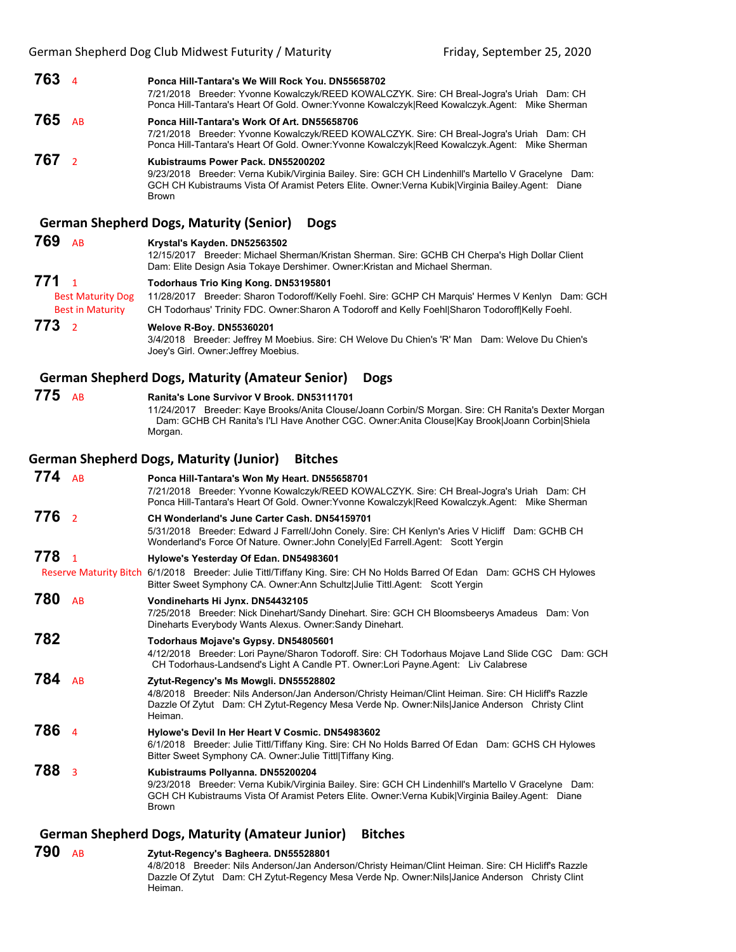|                  |                                                     | German Shepherd Dog Club Mildwest Futurity / Miaturity<br>Friday, September 25, 2020                                                                                                                                                                          |
|------------------|-----------------------------------------------------|---------------------------------------------------------------------------------------------------------------------------------------------------------------------------------------------------------------------------------------------------------------|
| 763 4            |                                                     | Ponca Hill-Tantara's We Will Rock You. DN55658702<br>7/21/2018 Breeder: Yvonne Kowalczyk/REED KOWALCZYK. Sire: CH Breal-Jogra's Uriah Dam: CH<br>Ponca Hill-Tantara's Heart Of Gold. Owner: Yvonne Kowalczyk Reed Kowalczyk. Agent: Mike Sherman              |
| 765              | <b>AB</b>                                           | Ponca Hill-Tantara's Work Of Art, DN55658706<br>7/21/2018 Breeder: Yvonne Kowalczyk/REED KOWALCZYK. Sire: CH Breal-Jogra's Uriah Dam: CH<br>Ponca Hill-Tantara's Heart Of Gold. Owner: Yvonne Kowalczyk Reed Kowalczyk.Agent: Mike Sherman                    |
| 767 <sub>2</sub> |                                                     | Kubistraums Power Pack, DN55200202<br>9/23/2018 Breeder: Verna Kubik/Virginia Bailey. Sire: GCH CH Lindenhill's Martello V Gracelyne Dam:<br>GCH CH Kubistraums Vista Of Aramist Peters Elite. Owner: Verna Kubik Virginia Bailey Agent: Diane<br>Brown       |
|                  |                                                     | <b>German Shepherd Dogs, Maturity (Senior)</b><br><b>Dogs</b>                                                                                                                                                                                                 |
| 769              | AB                                                  | Krystal's Kayden. DN52563502<br>12/15/2017 Breeder: Michael Sherman/Kristan Sherman. Sire: GCHB CH Cherpa's High Dollar Client<br>Dam: Elite Design Asia Tokaye Dershimer. Owner: Kristan and Michael Sherman.                                                |
| 771              | $\overline{1}$                                      | Todorhaus Trio King Kong. DN53195801                                                                                                                                                                                                                          |
|                  | <b>Best Maturity Dog</b><br><b>Best in Maturity</b> | 11/28/2017 Breeder: Sharon Todoroff/Kelly Foehl. Sire: GCHP CH Marquis' Hermes V Kenlyn Dam: GCH<br>CH Todorhaus' Trinity FDC. Owner: Sharon A Todoroff and Kelly Foehl Sharon Todoroff Kelly Foehl.                                                          |
| 773              | $\overline{2}$                                      | Welove R-Boy. DN55360201<br>3/4/2018 Breeder: Jeffrey M Moebius. Sire: CH Welove Du Chien's 'R' Man Dam: Welove Du Chien's<br>Joey's Girl. Owner: Jeffrey Moebius.                                                                                            |
|                  |                                                     | <b>German Shepherd Dogs, Maturity (Amateur Senior)</b><br><b>Dogs</b>                                                                                                                                                                                         |
| 775              | AB                                                  | Ranita's Lone Survivor V Brook, DN53111701<br>11/24/2017 Breeder: Kaye Brooks/Anita Clouse/Joann Corbin/S Morgan. Sire: CH Ranita's Dexter Morgan<br>Dam: GCHB CH Ranita's I'Ll Have Another CGC. Owner:Anita Clouse Kay Brook Joann Corbin Shiela<br>Morgan. |
|                  |                                                     | <b>German Shepherd Dogs, Maturity (Junior)</b><br><b>Bitches</b>                                                                                                                                                                                              |
| $774$ AB         |                                                     | Ponca Hill-Tantara's Won My Heart. DN55658701                                                                                                                                                                                                                 |
|                  |                                                     | 7/21/2018 Breeder: Yvonne Kowalczyk/REED KOWALCZYK. Sire: CH Breal-Jogra's Uriah Dam: CH<br>Ponca Hill-Tantara's Heart Of Gold. Owner: Yvonne Kowalczyk Reed Kowalczyk. Agent: Mike Sherman                                                                   |
| 776              | $\overline{2}$                                      | CH Wonderland's June Carter Cash. DN54159701<br>5/31/2018 Breeder: Edward J Farrell/John Conely. Sire: CH Kenlyn's Aries V Hicliff Dam: GCHB CH<br>Wonderland's Force Of Nature. Owner: John Conely Ed Farrell.Agent: Scott Yergin                            |
| 778              | $\overline{1}$                                      | Hylowe's Yesterday Of Edan. DN54983601                                                                                                                                                                                                                        |
|                  |                                                     | Reserve Maturity Bitch 6/1/2018 Breeder: Julie Tittl/Tiffany King. Sire: CH No Holds Barred Of Edan Dam: GCHS CH Hylowes<br>Bitter Sweet Symphony CA. Owner: Ann Schultz Julie Tittl. Agent: Scott Yergin                                                     |
| 780              | AB                                                  | Vondineharts Hi Jynx. DN54432105<br>7/25/2018 Breeder: Nick Dinehart/Sandy Dinehart. Sire: GCH CH Bloomsbeerys Amadeus Dam: Von<br>Dineharts Everybody Wants Alexus. Owner: Sandy Dinehart.                                                                   |
| 782              |                                                     | Todorhaus Mojave's Gypsy. DN54805601<br>4/12/2018 Breeder: Lori Payne/Sharon Todoroff. Sire: CH Todorhaus Mojave Land Slide CGC Dam: GCH<br>CH Todorhaus-Landsend's Light A Candle PT. Owner:Lori Payne.Agent: Liv Calabrese                                  |
| 784              | AB                                                  | Zytut-Regency's Ms Mowgli. DN55528802<br>4/8/2018 Breeder: Nils Anderson/Jan Anderson/Christy Heiman/Clint Heiman. Sire: CH Hicliff's Razzle<br>Dazzle Of Zytut Dam: CH Zytut-Regency Mesa Verde Np. Owner:Nils Janice Anderson Christy Clint<br>Heiman.      |
| 786              | $\overline{4}$                                      | Hylowe's Devil In Her Heart V Cosmic. DN54983602<br>6/1/2018 Breeder: Julie Tittl/Tiffany King. Sire: CH No Holds Barred Of Edan Dam: GCHS CH Hylowes<br>Bitter Sweet Symphony CA. Owner: Julie Tittl Tiffany King.                                           |
| 788              | $\overline{3}$                                      | Kubistraums Pollyanna. DN55200204<br>9/23/2018 Breeder: Verna Kubik/Virginia Bailey. Sire: GCH CH Lindenhill's Martello V Gracelyne Dam:                                                                                                                      |

GCH CH Kubistraums Vista Of Aramist Peters Elite. Owner:Verna Kubik|Virginia Bailey.Agent: Diane Brown

## **German Shepherd Dogs, Maturity (Amateur Junior) Bitches**

## **790** AB **Zytut-Regency's Bagheera. DN55528801**

4/8/2018 Breeder: Nils Anderson/Jan Anderson/Christy Heiman/Clint Heiman. Sire: CH Hicliff's Razzle Dazzle Of Zytut Dam: CH Zytut-Regency Mesa Verde Np. Owner:Nils|Janice Anderson Christy Clint Heiman.